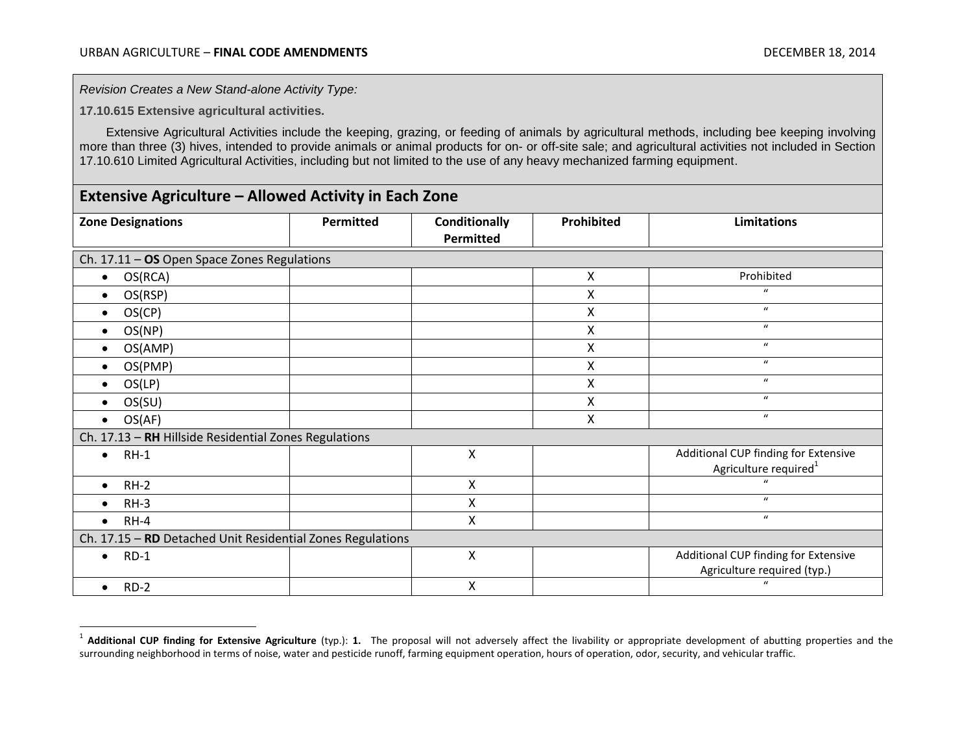*Revision Creates a New Stand-alone Activity Type:*

**17.10.615 Extensive agricultural activities.**

 $\overline{a}$ 

Extensive Agricultural Activities include the keeping, grazing, or feeding of animals by agricultural methods, including bee keeping involving more than three (3) hives, intended to provide animals or animal products for on- or off-site sale; and agricultural activities not included in Section 17.10.610 Limited Agricultural Activities, including but not limited to the use of any heavy mechanized farming equipment.

## **Extensive Agriculture – Allowed Activity in Each Zone**

| <b>Zone Designations</b>                                   | Permitted | Conditionally<br>Permitted | <b>Prohibited</b> | <b>Limitations</b>                                                        |  |
|------------------------------------------------------------|-----------|----------------------------|-------------------|---------------------------------------------------------------------------|--|
| Ch. 17.11 - OS Open Space Zones Regulations                |           |                            |                   |                                                                           |  |
| OS(RCA)<br>$\bullet$                                       |           |                            | $\mathsf{X}$      | Prohibited                                                                |  |
| OS(RSP)<br>$\bullet$                                       |           |                            | X                 | $\boldsymbol{u}$                                                          |  |
| OS(CP)<br>$\bullet$                                        |           |                            | $\pmb{\times}$    | $\boldsymbol{u}$                                                          |  |
| OS(NP)<br>$\bullet$                                        |           |                            | X                 | $\mathbf{u}$                                                              |  |
| OS(AMP)<br>$\bullet$                                       |           |                            | X                 | $\boldsymbol{u}$                                                          |  |
| OS(PMP)<br>$\bullet$                                       |           |                            | X                 | $\boldsymbol{u}$                                                          |  |
| OS(LP)<br>$\bullet$                                        |           |                            | $\pmb{\times}$    | $\boldsymbol{u}$                                                          |  |
| OS(SU)<br>$\bullet$                                        |           |                            | X                 | $\mathbf{u}$                                                              |  |
| OS(AF)                                                     |           |                            | $\mathsf{X}$      | $\mathbf{u}$                                                              |  |
| Ch. 17.13 - RH Hillside Residential Zones Regulations      |           |                            |                   |                                                                           |  |
| $RH-1$<br>$\bullet$                                        |           | $\boldsymbol{\mathsf{X}}$  |                   | Additional CUP finding for Extensive<br>Agriculture required <sup>1</sup> |  |
| $RH-2$<br>$\bullet$                                        |           | X                          |                   | $\mathbf{u}$                                                              |  |
| $RH-3$                                                     |           | X                          |                   | $\mathbf{u}$                                                              |  |
| $RH-4$<br>$\bullet$                                        |           | X                          |                   | $\boldsymbol{u}$                                                          |  |
| Ch. 17.15 - RD Detached Unit Residential Zones Regulations |           |                            |                   |                                                                           |  |
| $RD-1$<br>$\bullet$                                        |           | $\boldsymbol{\mathsf{X}}$  |                   | Additional CUP finding for Extensive<br>Agriculture required (typ.)       |  |
| $RD-2$<br>$\bullet$                                        |           | Χ                          |                   | $\mathbf{u}$                                                              |  |

<sup>1</sup> **Additional CUP finding for Extensive Agriculture** (typ.): **1.** The proposal will not adversely affect the livability or appropriate development of abutting properties and the surrounding neighborhood in terms of noise, water and pesticide runoff, farming equipment operation, hours of operation, odor, security, and vehicular traffic.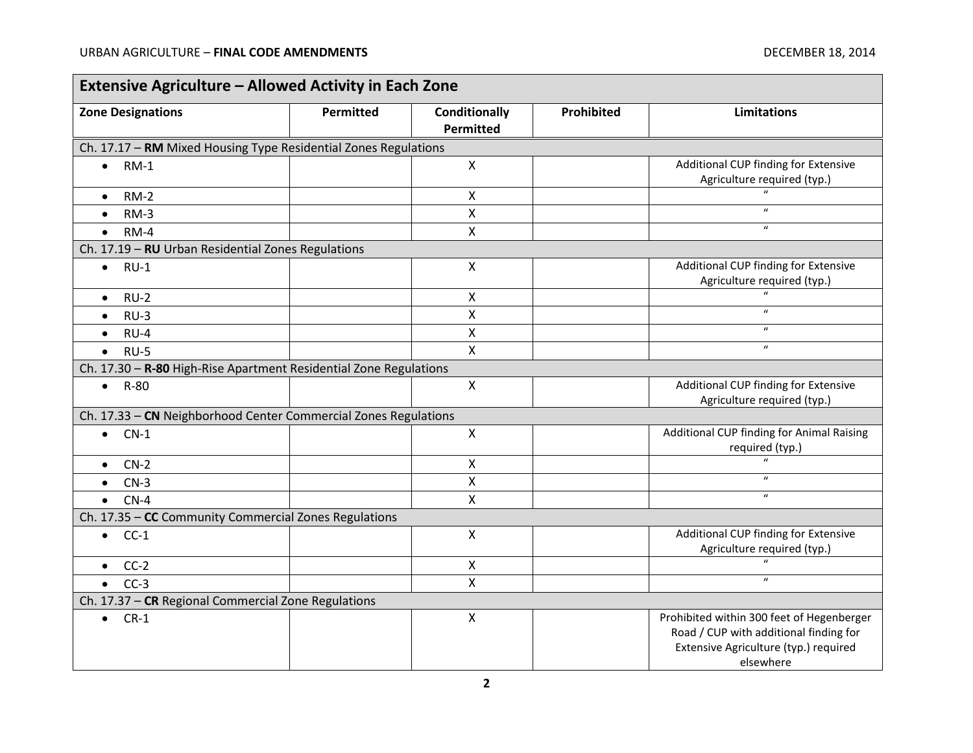$\blacksquare$ 

۰

| <b>Extensive Agriculture - Allowed Activity in Each Zone</b>      |           |                                          |            |                                                                                                                                           |  |
|-------------------------------------------------------------------|-----------|------------------------------------------|------------|-------------------------------------------------------------------------------------------------------------------------------------------|--|
| <b>Zone Designations</b>                                          | Permitted | <b>Conditionally</b><br><b>Permitted</b> | Prohibited | <b>Limitations</b>                                                                                                                        |  |
| Ch. 17.17 - RM Mixed Housing Type Residential Zones Regulations   |           |                                          |            |                                                                                                                                           |  |
| $RM-1$<br>$\bullet$                                               |           | X                                        |            | Additional CUP finding for Extensive                                                                                                      |  |
|                                                                   |           |                                          |            | Agriculture required (typ.)<br>$\mathbf{u}$                                                                                               |  |
| $RM-2$<br>$\bullet$                                               |           | X                                        |            | $\overline{u}$                                                                                                                            |  |
| $RM-3$<br>$\bullet$                                               |           | X                                        |            |                                                                                                                                           |  |
| $RM-4$<br>$\bullet$                                               |           | X                                        |            | $\boldsymbol{\mathcal{U}}$                                                                                                                |  |
| Ch. 17.19 - RU Urban Residential Zones Regulations                |           |                                          |            |                                                                                                                                           |  |
| $RU-1$<br>$\bullet$                                               |           | Χ                                        |            | Additional CUP finding for Extensive<br>Agriculture required (typ.)                                                                       |  |
| $RU-2$<br>$\bullet$                                               |           | Χ                                        |            | $\overline{u}$                                                                                                                            |  |
| $RU-3$<br>$\bullet$                                               |           | X                                        |            | $\boldsymbol{u}$                                                                                                                          |  |
| $RU-4$<br>$\bullet$                                               |           | $\mathsf{x}$                             |            | $\boldsymbol{u}$                                                                                                                          |  |
| $RU-5$<br>$\bullet$                                               |           | $\mathsf{x}$                             |            | $\boldsymbol{u}$                                                                                                                          |  |
| Ch. 17.30 - R-80 High-Rise Apartment Residential Zone Regulations |           |                                          |            |                                                                                                                                           |  |
| $\bullet$ R-80                                                    |           | X                                        |            | Additional CUP finding for Extensive<br>Agriculture required (typ.)                                                                       |  |
| Ch. 17.33 - CN Neighborhood Center Commercial Zones Regulations   |           |                                          |            |                                                                                                                                           |  |
| $\bullet$ CN-1                                                    |           | X                                        |            | Additional CUP finding for Animal Raising<br>required (typ.)                                                                              |  |
| $CN-2$<br>$\bullet$                                               |           | X                                        |            | $\boldsymbol{u}$                                                                                                                          |  |
| $CN-3$                                                            |           | X                                        |            | $\boldsymbol{u}$                                                                                                                          |  |
| $CN-4$<br>$\bullet$                                               |           | X                                        |            | $\boldsymbol{u}$                                                                                                                          |  |
| Ch. 17.35 - CC Community Commercial Zones Regulations             |           |                                          |            |                                                                                                                                           |  |
| $\bullet$ CC-1                                                    |           | X                                        |            | Additional CUP finding for Extensive<br>Agriculture required (typ.)                                                                       |  |
| $CC-2$<br>$\bullet$                                               |           | $\pmb{\times}$                           |            | $\mathbf{u}$                                                                                                                              |  |
| $\bullet$ CC-3                                                    |           | X                                        |            | $\boldsymbol{u}$                                                                                                                          |  |
| Ch. 17.37 - CR Regional Commercial Zone Regulations               |           |                                          |            |                                                                                                                                           |  |
| $CR-1$<br>$\bullet$                                               |           | X                                        |            | Prohibited within 300 feet of Hegenberger<br>Road / CUP with additional finding for<br>Extensive Agriculture (typ.) required<br>elsewhere |  |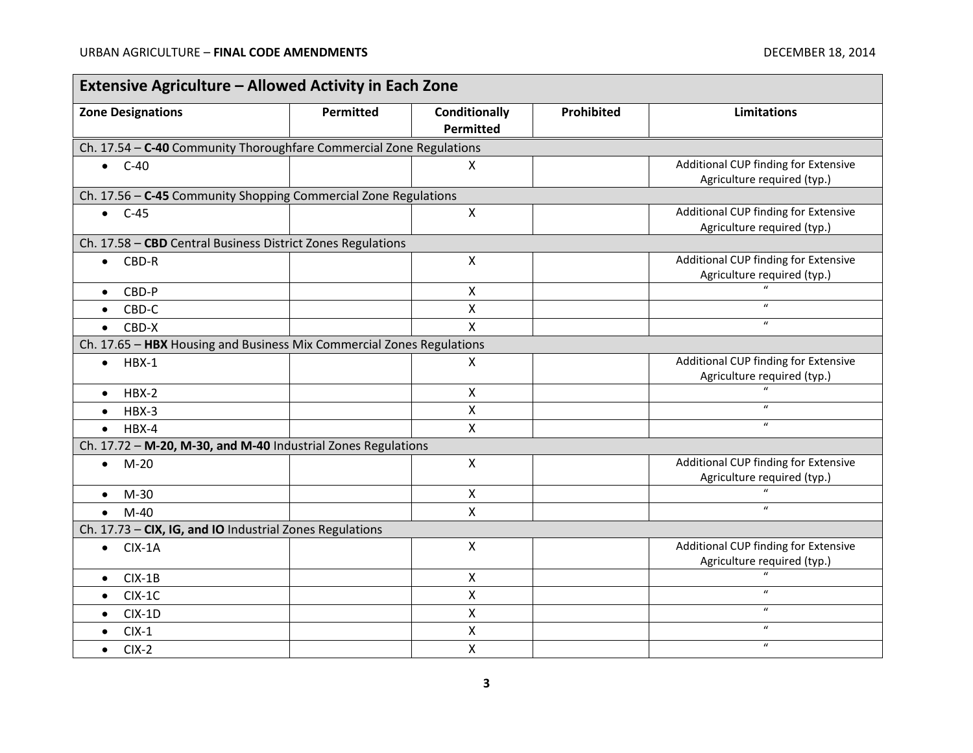$\blacksquare$ 

| <b>Extensive Agriculture - Allowed Activity in Each Zone</b>          |                  |                           |            |                                      |  |
|-----------------------------------------------------------------------|------------------|---------------------------|------------|--------------------------------------|--|
| <b>Zone Designations</b>                                              | <b>Permitted</b> | <b>Conditionally</b>      | Prohibited | <b>Limitations</b>                   |  |
|                                                                       |                  | Permitted                 |            |                                      |  |
| Ch. 17.54 - C-40 Community Thoroughfare Commercial Zone Regulations   |                  |                           |            |                                      |  |
| $\bullet$ C-40                                                        |                  | X                         |            | Additional CUP finding for Extensive |  |
|                                                                       |                  |                           |            | Agriculture required (typ.)          |  |
| Ch. 17.56 - C-45 Community Shopping Commercial Zone Regulations       |                  |                           |            |                                      |  |
| $\bullet$ C-45                                                        |                  | $\mathsf{X}$              |            | Additional CUP finding for Extensive |  |
|                                                                       |                  |                           |            | Agriculture required (typ.)          |  |
| Ch. 17.58 - CBD Central Business District Zones Regulations           |                  |                           |            |                                      |  |
| CBD-R<br>$\bullet$                                                    |                  | $\boldsymbol{\mathsf{X}}$ |            | Additional CUP finding for Extensive |  |
|                                                                       |                  |                           |            | Agriculture required (typ.)          |  |
| CBD-P<br>$\bullet$                                                    |                  | $\boldsymbol{\mathsf{X}}$ |            | $\boldsymbol{u}$                     |  |
| CBD-C<br>$\bullet$                                                    |                  | X                         |            |                                      |  |
| CBD-X<br>$\bullet$                                                    |                  | $\boldsymbol{\mathsf{X}}$ |            | $\boldsymbol{u}$                     |  |
| Ch. 17.65 - HBX Housing and Business Mix Commercial Zones Regulations |                  |                           |            |                                      |  |
| $HBX-1$<br>$\bullet$                                                  |                  | Χ                         |            | Additional CUP finding for Extensive |  |
|                                                                       |                  |                           |            | Agriculture required (typ.)          |  |
| $HBX-2$<br>$\bullet$                                                  |                  | X                         |            |                                      |  |
| $HBX-3$<br>$\bullet$                                                  |                  | $\boldsymbol{\mathsf{X}}$ |            | $\boldsymbol{\mathcal{U}}$           |  |
| $HBX-4$<br>$\bullet$                                                  |                  | $\boldsymbol{\mathsf{X}}$ |            | $\boldsymbol{u}$                     |  |
| Ch. 17.72 - M-20, M-30, and M-40 Industrial Zones Regulations         |                  |                           |            |                                      |  |
| $M-20$<br>$\bullet$                                                   |                  | $\boldsymbol{\mathsf{X}}$ |            | Additional CUP finding for Extensive |  |
|                                                                       |                  |                           |            | Agriculture required (typ.)          |  |
| $M-30$<br>$\bullet$                                                   |                  | $\boldsymbol{\mathsf{X}}$ |            |                                      |  |
| $M-40$<br>$\bullet$                                                   |                  | $\mathsf{x}$              |            | $\boldsymbol{u}$                     |  |
| Ch. 17.73 - CIX, IG, and IO Industrial Zones Regulations              |                  |                           |            |                                      |  |
| $CIX-1A$<br>$\bullet$                                                 |                  | $\boldsymbol{\mathsf{X}}$ |            | Additional CUP finding for Extensive |  |
|                                                                       |                  |                           |            | Agriculture required (typ.)          |  |
| $CIX-1B$<br>$\bullet$                                                 |                  | X                         |            | $\mathbf{u}$                         |  |
| $CIX-1C$<br>$\bullet$                                                 |                  | X                         |            | $\boldsymbol{u}$                     |  |
| $CIX-1D$<br>$\bullet$                                                 |                  | $\pmb{\times}$            |            | $\boldsymbol{u}$                     |  |
| $CIX-1$<br>$\bullet$                                                  |                  | $\boldsymbol{\mathsf{X}}$ |            | $\mathbf{u}$                         |  |
| $CIX-2$<br>$\bullet$                                                  |                  | $\pmb{\mathsf{X}}$        |            | $\boldsymbol{u}$                     |  |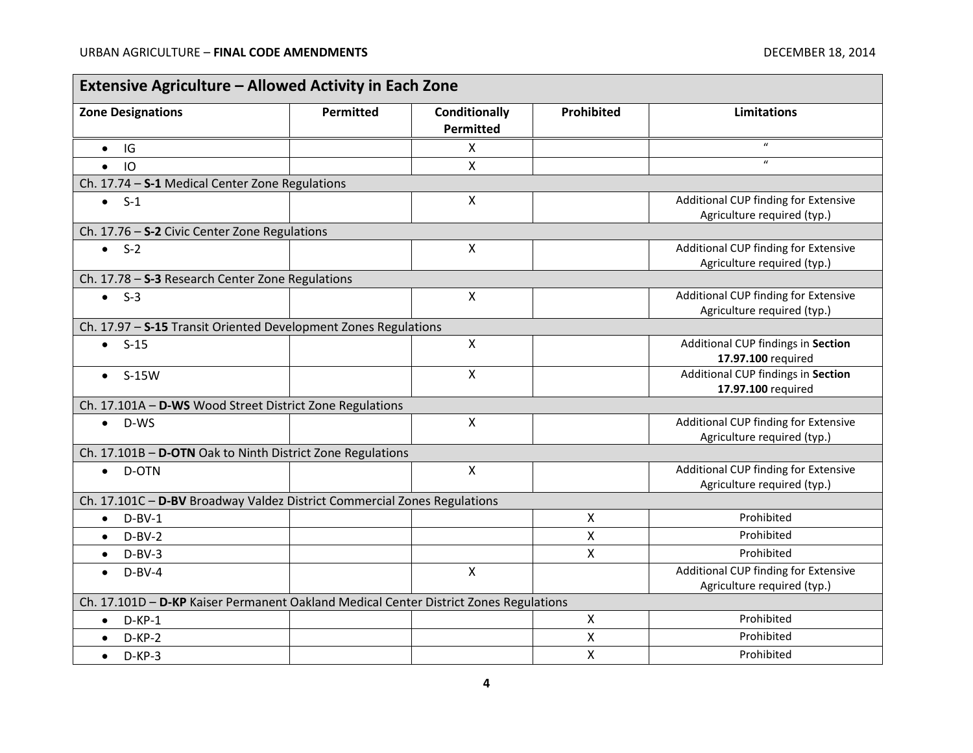$\blacksquare$ 

۰

| <b>Extensive Agriculture - Allowed Activity in Each Zone</b>                          |           |                                          |                           |                                                                     |  |
|---------------------------------------------------------------------------------------|-----------|------------------------------------------|---------------------------|---------------------------------------------------------------------|--|
| <b>Zone Designations</b>                                                              | Permitted | <b>Conditionally</b><br><b>Permitted</b> | Prohibited                | <b>Limitations</b>                                                  |  |
| IG<br>$\bullet$                                                                       |           | X                                        |                           | $\boldsymbol{\mathcal{U}}$                                          |  |
| IO<br>$\bullet$                                                                       |           | $\overline{X}$                           |                           | $\boldsymbol{u}$                                                    |  |
| Ch. 17.74 - S-1 Medical Center Zone Regulations                                       |           |                                          |                           |                                                                     |  |
| $\bullet$ S-1                                                                         |           | X                                        |                           | Additional CUP finding for Extensive<br>Agriculture required (typ.) |  |
| Ch. 17.76 - S-2 Civic Center Zone Regulations                                         |           |                                          |                           |                                                                     |  |
| $\bullet$ S-2                                                                         |           | $\mathsf{x}$                             |                           | Additional CUP finding for Extensive<br>Agriculture required (typ.) |  |
| Ch. 17.78 - S-3 Research Center Zone Regulations                                      |           |                                          |                           |                                                                     |  |
| $\bullet$ S-3                                                                         |           | $\pmb{\mathsf{X}}$                       |                           | Additional CUP finding for Extensive<br>Agriculture required (typ.) |  |
| Ch. 17.97 - S-15 Transit Oriented Development Zones Regulations                       |           |                                          |                           |                                                                     |  |
| $-S-15$                                                                               |           | X                                        |                           | Additional CUP findings in Section<br>17.97.100 required            |  |
| $S-15W$<br>$\bullet$                                                                  |           | X                                        |                           | Additional CUP findings in Section<br>17.97.100 required            |  |
| Ch. 17.101A - D-WS Wood Street District Zone Regulations                              |           |                                          |                           |                                                                     |  |
| D-WS<br>$\bullet$                                                                     |           | Χ                                        |                           | Additional CUP finding for Extensive<br>Agriculture required (typ.) |  |
| Ch. 17.101B - D-OTN Oak to Ninth District Zone Regulations                            |           |                                          |                           |                                                                     |  |
| D-OTN<br>$\bullet$                                                                    |           | $\mathsf{X}$                             |                           | Additional CUP finding for Extensive<br>Agriculture required (typ.) |  |
| Ch. 17.101C - D-BV Broadway Valdez District Commercial Zones Regulations              |           |                                          |                           |                                                                     |  |
| $D-BV-1$<br>$\bullet$                                                                 |           |                                          | $\boldsymbol{\mathsf{X}}$ | Prohibited                                                          |  |
| $D-BV-2$<br>$\bullet$                                                                 |           |                                          | X                         | Prohibited                                                          |  |
| $D-BV-3$<br>$\bullet$                                                                 |           |                                          | X                         | Prohibited                                                          |  |
| $D-BV-4$<br>$\bullet$                                                                 |           | $\mathsf{X}$                             |                           | Additional CUP finding for Extensive<br>Agriculture required (typ.) |  |
| Ch. 17.101D - D-KP Kaiser Permanent Oakland Medical Center District Zones Regulations |           |                                          |                           |                                                                     |  |
| $D-KP-1$<br>$\bullet$                                                                 |           |                                          | $\boldsymbol{\mathsf{X}}$ | Prohibited                                                          |  |
| $D-KP-2$<br>$\bullet$                                                                 |           |                                          | Χ                         | Prohibited                                                          |  |
| $D-KP-3$<br>$\bullet$                                                                 |           |                                          | $\pmb{\mathsf{X}}$        | Prohibited                                                          |  |